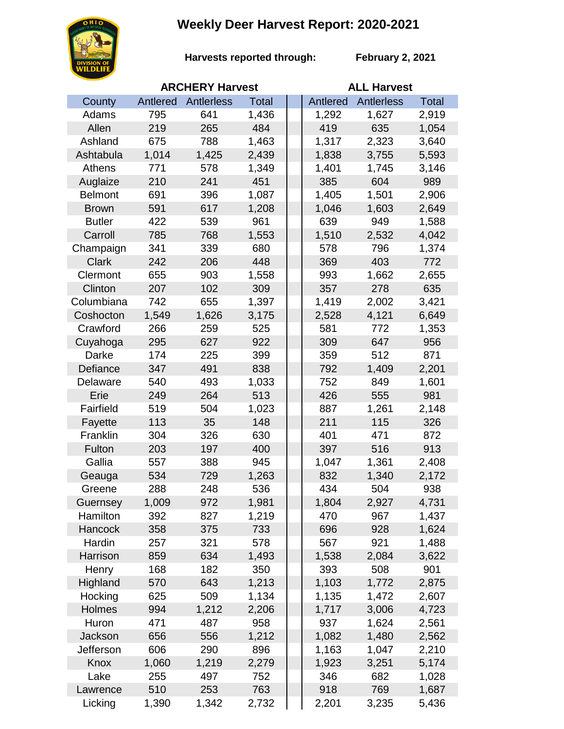## **Weekly Deer Harvest Report: 2020-2021**



**Harvests reported through:** 

**February 2, 2021**

|                | <b>ARCHERY Harvest</b> |            |       |  | <b>ALL Harvest</b> |            |              |  |
|----------------|------------------------|------------|-------|--|--------------------|------------|--------------|--|
| County         | Antlered               | Antlerless | Total |  | Antlered           | Antlerless | <b>Total</b> |  |
| Adams          | 795                    | 641        | 1,436 |  | 1,292              | 1,627      | 2,919        |  |
| Allen          | 219                    | 265        | 484   |  | 419                | 635        | 1,054        |  |
| Ashland        | 675                    | 788        | 1,463 |  | 1,317              | 2,323      | 3,640        |  |
| Ashtabula      | 1,014                  | 1,425      | 2,439 |  | 1,838              | 3,755      | 5,593        |  |
| Athens         | 771                    | 578        | 1,349 |  | 1,401              | 1,745      | 3,146        |  |
| Auglaize       | 210                    | 241        | 451   |  | 385                | 604        | 989          |  |
| <b>Belmont</b> | 691                    | 396        | 1,087 |  | 1,405              | 1,501      | 2,906        |  |
| <b>Brown</b>   | 591                    | 617        | 1,208 |  | 1,046              | 1,603      | 2,649        |  |
| <b>Butler</b>  | 422                    | 539        | 961   |  | 639                | 949        | 1,588        |  |
| Carroll        | 785                    | 768        | 1,553 |  | 1,510              | 2,532      | 4,042        |  |
| Champaign      | 341                    | 339        | 680   |  | 578                | 796        | 1,374        |  |
| <b>Clark</b>   | 242                    | 206        | 448   |  | 369                | 403        | 772          |  |
| Clermont       | 655                    | 903        | 1,558 |  | 993                | 1,662      | 2,655        |  |
| Clinton        | 207                    | 102        | 309   |  | 357                | 278        | 635          |  |
| Columbiana     | 742                    | 655        | 1,397 |  | 1,419              | 2,002      | 3,421        |  |
| Coshocton      | 1,549                  | 1,626      | 3,175 |  | 2,528              | 4,121      | 6,649        |  |
| Crawford       | 266                    | 259        | 525   |  | 581                | 772        | 1,353        |  |
| Cuyahoga       | 295                    | 627        | 922   |  | 309                | 647        | 956          |  |
| Darke          | 174                    | 225        | 399   |  | 359                | 512        | 871          |  |
| Defiance       | 347                    | 491        | 838   |  | 792                | 1,409      | 2,201        |  |
| Delaware       | 540                    | 493        | 1,033 |  | 752                | 849        | 1,601        |  |
| Erie           | 249                    | 264        | 513   |  | 426                | 555        | 981          |  |
| Fairfield      | 519                    | 504        | 1,023 |  | 887                | 1,261      | 2,148        |  |
| Fayette        | 113                    | 35         | 148   |  | 211                | 115        | 326          |  |
| Franklin       | 304                    | 326        | 630   |  | 401                | 471        | 872          |  |
| Fulton         | 203                    | 197        | 400   |  | 397                | 516        | 913          |  |
| Gallia         | 557                    | 388        | 945   |  | 1,047              | 1,361      | 2,408        |  |
| Geauga         | 534                    | 729        | 1,263 |  | 832                | 1,340      | 2,172        |  |
| Greene         | 288                    | 248        | 536   |  | 434                | 504        | 938          |  |
| Guernsey       | 1,009                  | 972        | 1,981 |  | 1,804              | 2,927      | 4,731        |  |
| Hamilton       | 392                    | 827        | 1,219 |  | 470                | 967        | 1,437        |  |
| <b>Hancock</b> | 358                    | 375        | 733   |  | 696                | 928        | 1,624        |  |
| Hardin         | 257                    | 321        | 578   |  | 567                | 921        | 1,488        |  |
| Harrison       | 859                    | 634        | 1,493 |  | 1,538              | 2,084      | 3,622        |  |
| Henry          | 168                    | 182        | 350   |  | 393                | 508        | 901          |  |
| Highland       | 570                    | 643        | 1,213 |  | 1,103              | 1,772      | 2,875        |  |
| Hocking        | 625                    | 509        | 1,134 |  | 1,135              | 1,472      | 2,607        |  |
| Holmes         | 994                    | 1,212      | 2,206 |  | 1,717              | 3,006      | 4,723        |  |
| Huron          | 471                    | 487        | 958   |  | 937                | 1,624      | 2,561        |  |
| Jackson        | 656                    | 556        | 1,212 |  | 1,082              | 1,480      | 2,562        |  |
| Jefferson      | 606                    | 290        | 896   |  | 1,163              | 1,047      | 2,210        |  |
| Knox           | 1,060                  | 1,219      | 2,279 |  | 1,923              | 3,251      | 5,174        |  |
| Lake           | 255                    | 497        | 752   |  | 346                | 682        | 1,028        |  |
| Lawrence       | 510                    | 253        | 763   |  | 918                | 769        | 1,687        |  |
| Licking        | 1,390                  | 1,342      | 2,732 |  | 2,201              | 3,235      | 5,436        |  |